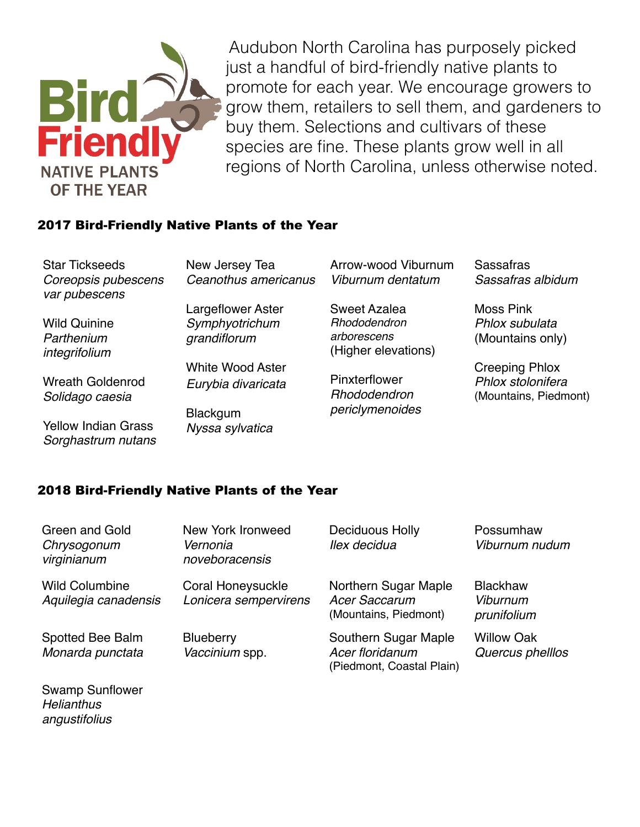

Audubon North Carolina has purposely picked just a handful of bird-friendly native plants to promote for each year. We encourage growers to grow them, retailers to sell them, and gardeners to buy them. Selections and cultivars of these species are fine. These plants grow well in all regions of North Carolina, unless otherwise noted.

## 2017 Bird-Friendly Native Plants of the Year

Star Tickseeds *Coreopsis pubescens var pubescens*

Wild Quinine *Parthenium integrifolium*

*Helianthus angustifolius*

Wreath Goldenrod *Solidago caesia*

Yellow Indian Grass *Sorghastrum nutans* New Jersey Tea *Ceanothus americanus*

Largeflower Aster *Symphyotrichum grandiflorum*

White Wood Aster *Eurybia divaricata*

**Blackgum** *Nyssa sylvatica* Arrow-wood Viburnum *Viburnum dentatum*

Sweet Azalea *Rhododendron arborescens* (Higher elevations)

Pinxterflower *Rhododendron periclymenoides* Sassafras *Sassafras albidum*

Moss Pink *Phlox subulata* (Mountains only)

Creeping Phlox *Phlox stolonifera* (Mountains, Piedmont)

## 2018 Bird-Friendly Native Plants of the Year

| Green and Gold<br>Chrysogonum<br>virginianum  | New York Ironweed<br>Vernonia<br>noveboracensis | <b>Deciduous Holly</b><br>llex decidua                                | Possumhaw<br>Viburnum nudum                |
|-----------------------------------------------|-------------------------------------------------|-----------------------------------------------------------------------|--------------------------------------------|
| <b>Wild Columbine</b><br>Aquilegia canadensis | Coral Honeysuckle<br>Lonicera sempervirens      | Northern Sugar Maple<br><b>Acer Saccarum</b><br>(Mountains, Piedmont) | <b>Blackhaw</b><br>Viburnum<br>prunifolium |
| Spotted Bee Balm<br>Monarda punctata          | <b>Blueberry</b><br>Vaccinium spp.              | Southern Sugar Maple<br>Acer floridanum<br>(Piedmont, Coastal Plain)  | <b>Willow Oak</b><br>Quercus phelllos      |
| <b>Swamp Sunflower</b>                        |                                                 |                                                                       |                                            |